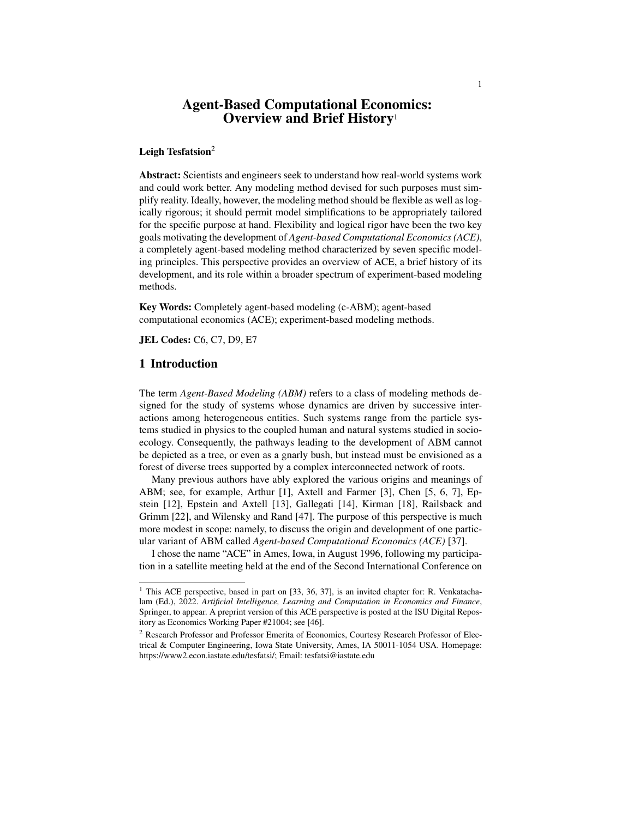# Agent-Based Computational Economics: Overview and Brief History<sup>1</sup>

#### Leigh Tesfatsion $2$

Abstract: Scientists and engineers seek to understand how real-world systems work and could work better. Any modeling method devised for such purposes must simplify reality. Ideally, however, the modeling method should be flexible as well as logically rigorous; it should permit model simplifications to be appropriately tailored for the specific purpose at hand. Flexibility and logical rigor have been the two key goals motivating the development of *Agent-based Computational Economics (ACE)*, a completely agent-based modeling method characterized by seven specific modeling principles. This perspective provides an overview of ACE, a brief history of its development, and its role within a broader spectrum of experiment-based modeling methods.

Key Words: Completely agent-based modeling (c-ABM); agent-based computational economics (ACE); experiment-based modeling methods.

JEL Codes: C6, C7, D9, E7

## 1 Introduction

The term *Agent-Based Modeling (ABM)* refers to a class of modeling methods designed for the study of systems whose dynamics are driven by successive interactions among heterogeneous entities. Such systems range from the particle systems studied in physics to the coupled human and natural systems studied in socioecology. Consequently, the pathways leading to the development of ABM cannot be depicted as a tree, or even as a gnarly bush, but instead must be envisioned as a forest of diverse trees supported by a complex interconnected network of roots.

Many previous authors have ably explored the various origins and meanings of ABM; see, for example, Arthur [1], Axtell and Farmer [3], Chen [5, 6, 7], Epstein [12], Epstein and Axtell [13], Gallegati [14], Kirman [18], Railsback and Grimm [22], and Wilensky and Rand [47]. The purpose of this perspective is much more modest in scope: namely, to discuss the origin and development of one particular variant of ABM called *Agent-based Computational Economics (ACE)* [37].

I chose the name "ACE" in Ames, Iowa, in August 1996, following my participation in a satellite meeting held at the end of the Second International Conference on

<sup>&</sup>lt;sup>1</sup> This ACE perspective, based in part on [33, 36, 37], is an invited chapter for: R. Venkatachalam (Ed.), 2022. *Artificial Intelligence, Learning and Computation in Economics and Finance*, Springer, to appear. A preprint version of this ACE perspective is posted at the ISU Digital Repository as Economics Working Paper #21004; see [46].

<sup>2</sup> Research Professor and Professor Emerita of Economics, Courtesy Research Professor of Electrical & Computer Engineering, Iowa State University, Ames, IA 50011-1054 USA. Homepage: https://www2.econ.iastate.edu/tesfatsi/; Email: tesfatsi@iastate.edu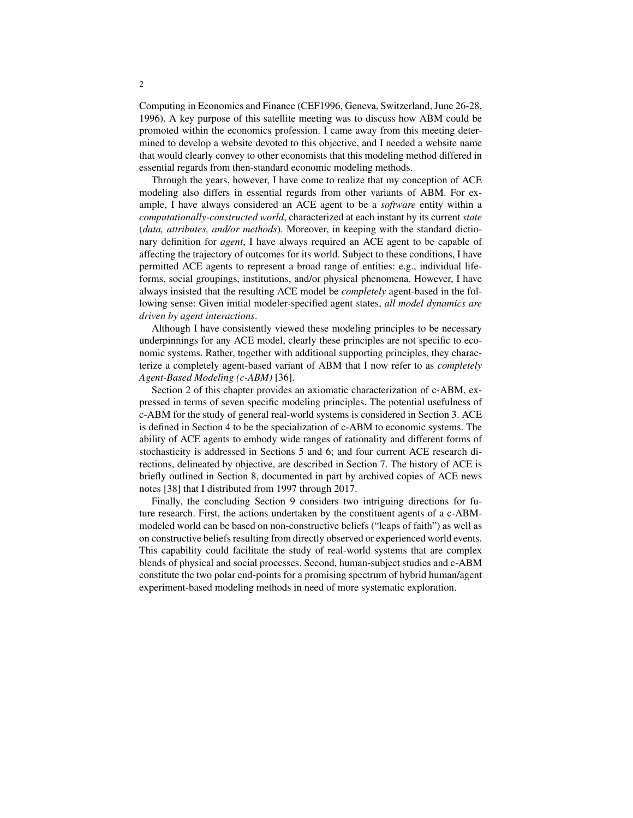Computing in Economics and Finance (CEF1996, Geneva, Switzerland, June 26-28, 1996). A key purpose of this satellite meeting was to discuss how ABM could be promoted within the economics profession. I came away from this meeting determined to develop a website devoted to this objective, and I needed a website name that would clearly convey to other economists that this modeling method differed in essential regards from then-standard economic modeling methods.

Through the years, however, I have come to realize that my conception of ACE modeling also differs in essential regards from other variants of ABM. For example, I have always considered an ACE agent to be a *software* entity within a *computationally-constructed world*, characterized at each instant by its current *state* (*data, attributes, and/or methods*). Moreover, in keeping with the standard dictionary definition for *agent*, I have always required an ACE agent to be capable of affecting the trajectory of outcomes for its world. Subject to these conditions, I have permitted ACE agents to represent a broad range of entities: e.g., individual lifeforms, social groupings, institutions, and/or physical phenomena. However, I have always insisted that the resulting ACE model be *completely* agent-based in the following sense: Given initial modeler-specified agent states, *all model dynamics are driven by agent interactions*.

Although I have consistently viewed these modeling principles to be necessary underpinnings for any ACE model, clearly these principles are not specific to economic systems. Rather, together with additional supporting principles, they characterize a completely agent-based variant of ABM that I now refer to as *completely Agent-Based Modeling (c-ABM)* [36].

Section 2 of this chapter provides an axiomatic characterization of c-ABM, expressed in terms of seven specific modeling principles. The potential usefulness of c-ABM for the study of general real-world systems is considered in Section 3. ACE is defined in Section 4 to be the specialization of c-ABM to economic systems. The ability of ACE agents to embody wide ranges of rationality and different forms of stochasticity is addressed in Sections 5 and 6; and four current ACE research directions, delineated by objective, are described in Section 7. The history of ACE is briefly outlined in Section 8, documented in part by archived copies of ACE news notes [38] that I distributed from 1997 through 2017.

Finally, the concluding Section 9 considers two intriguing directions for future research. First, the actions undertaken by the constituent agents of a c-ABMmodeled world can be based on non-constructive beliefs ("leaps of faith") as well as on constructive beliefs resulting from directly observed or experienced world events. This capability could facilitate the study of real-world systems that are complex blends of physical and social processes. Second, human-subject studies and c-ABM constitute the two polar end-points for a promising spectrum of hybrid human/agent experiment-based modeling methods in need of more systematic exploration.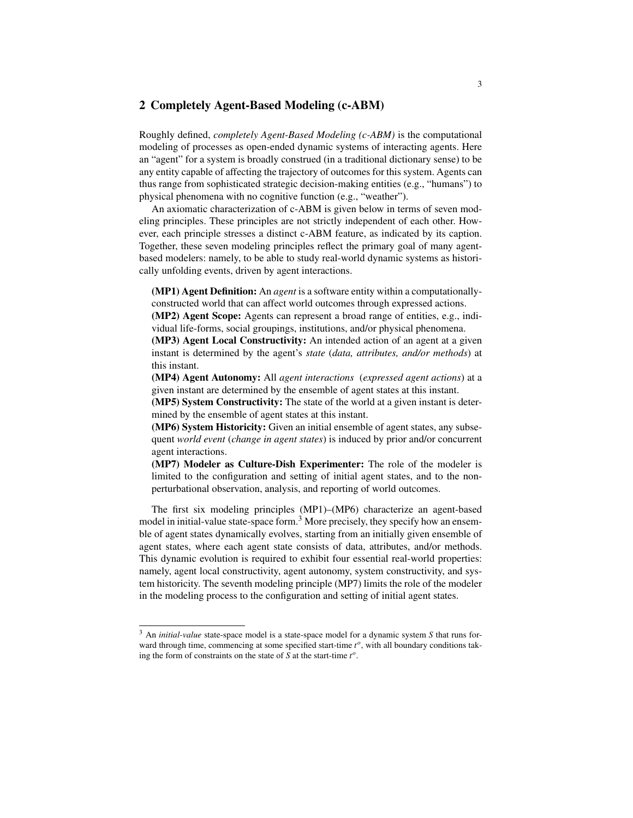# 2 Completely Agent-Based Modeling (c-ABM)

Roughly defined, *completely Agent-Based Modeling (c-ABM)* is the computational modeling of processes as open-ended dynamic systems of interacting agents. Here an "agent" for a system is broadly construed (in a traditional dictionary sense) to be any entity capable of affecting the trajectory of outcomes for this system. Agents can thus range from sophisticated strategic decision-making entities (e.g., "humans") to physical phenomena with no cognitive function (e.g., "weather").

An axiomatic characterization of c-ABM is given below in terms of seven modeling principles. These principles are not strictly independent of each other. However, each principle stresses a distinct c-ABM feature, as indicated by its caption. Together, these seven modeling principles reflect the primary goal of many agentbased modelers: namely, to be able to study real-world dynamic systems as historically unfolding events, driven by agent interactions.

(MP1) Agent Definition: An *agent* is a software entity within a computationallyconstructed world that can affect world outcomes through expressed actions.

(MP2) Agent Scope: Agents can represent a broad range of entities, e.g., individual life-forms, social groupings, institutions, and/or physical phenomena.

(MP3) Agent Local Constructivity: An intended action of an agent at a given instant is determined by the agent's *state* (*data, attributes, and/or methods*) at this instant.

(MP4) Agent Autonomy: All *agent interactions* (*expressed agent actions*) at a given instant are determined by the ensemble of agent states at this instant.

(MP5) System Constructivity: The state of the world at a given instant is determined by the ensemble of agent states at this instant.

(MP6) System Historicity: Given an initial ensemble of agent states, any subsequent *world event* (*change in agent states*) is induced by prior and/or concurrent agent interactions.

(MP7) Modeler as Culture-Dish Experimenter: The role of the modeler is limited to the configuration and setting of initial agent states, and to the nonperturbational observation, analysis, and reporting of world outcomes.

The first six modeling principles (MP1)–(MP6) characterize an agent-based model in initial-value state-space form.<sup>3</sup> More precisely, they specify how an ensemble of agent states dynamically evolves, starting from an initially given ensemble of agent states, where each agent state consists of data, attributes, and/or methods. This dynamic evolution is required to exhibit four essential real-world properties: namely, agent local constructivity, agent autonomy, system constructivity, and system historicity. The seventh modeling principle (MP7) limits the role of the modeler in the modeling process to the configuration and setting of initial agent states.

<sup>3</sup> An *initial-value* state-space model is a state-space model for a dynamic system *S* that runs forward through time, commencing at some specified start-time  $t^o$ , with all boundary conditions taking the form of constraints on the state of  $S$  at the start-time  $t^o$ .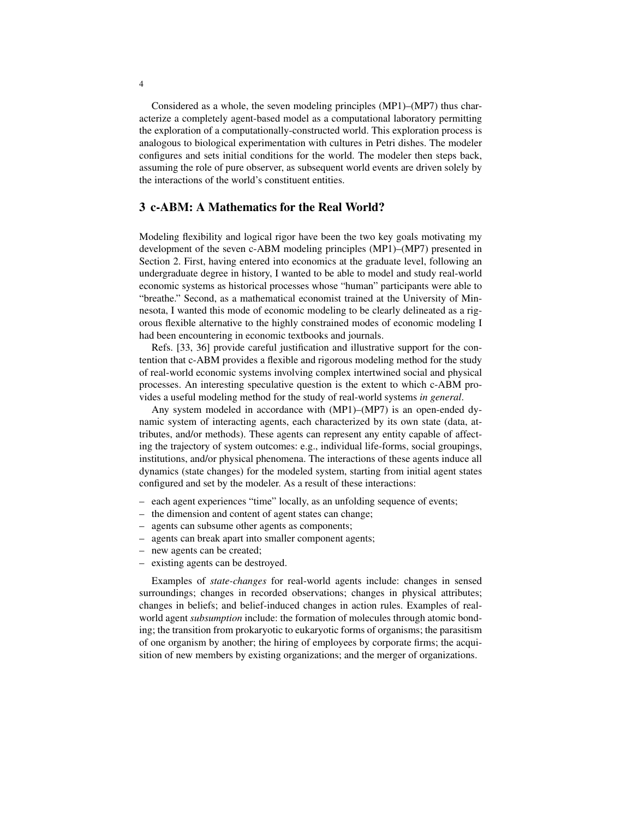Considered as a whole, the seven modeling principles (MP1)–(MP7) thus characterize a completely agent-based model as a computational laboratory permitting the exploration of a computationally-constructed world. This exploration process is analogous to biological experimentation with cultures in Petri dishes. The modeler configures and sets initial conditions for the world. The modeler then steps back, assuming the role of pure observer, as subsequent world events are driven solely by the interactions of the world's constituent entities.

## 3 c-ABM: A Mathematics for the Real World?

Modeling flexibility and logical rigor have been the two key goals motivating my development of the seven c-ABM modeling principles (MP1)–(MP7) presented in Section 2. First, having entered into economics at the graduate level, following an undergraduate degree in history, I wanted to be able to model and study real-world economic systems as historical processes whose "human" participants were able to "breathe." Second, as a mathematical economist trained at the University of Minnesota, I wanted this mode of economic modeling to be clearly delineated as a rigorous flexible alternative to the highly constrained modes of economic modeling I had been encountering in economic textbooks and journals.

Refs. [33, 36] provide careful justification and illustrative support for the contention that c-ABM provides a flexible and rigorous modeling method for the study of real-world economic systems involving complex intertwined social and physical processes. An interesting speculative question is the extent to which c-ABM provides a useful modeling method for the study of real-world systems *in general*.

Any system modeled in accordance with (MP1)–(MP7) is an open-ended dynamic system of interacting agents, each characterized by its own state (data, attributes, and/or methods). These agents can represent any entity capable of affecting the trajectory of system outcomes: e.g., individual life-forms, social groupings, institutions, and/or physical phenomena. The interactions of these agents induce all dynamics (state changes) for the modeled system, starting from initial agent states configured and set by the modeler. As a result of these interactions:

- each agent experiences "time" locally, as an unfolding sequence of events;
- the dimension and content of agent states can change;
- agents can subsume other agents as components;
- agents can break apart into smaller component agents;
- new agents can be created;
- existing agents can be destroyed.

Examples of *state-changes* for real-world agents include: changes in sensed surroundings; changes in recorded observations; changes in physical attributes; changes in beliefs; and belief-induced changes in action rules. Examples of realworld agent *subsumption* include: the formation of molecules through atomic bonding; the transition from prokaryotic to eukaryotic forms of organisms; the parasitism of one organism by another; the hiring of employees by corporate firms; the acquisition of new members by existing organizations; and the merger of organizations.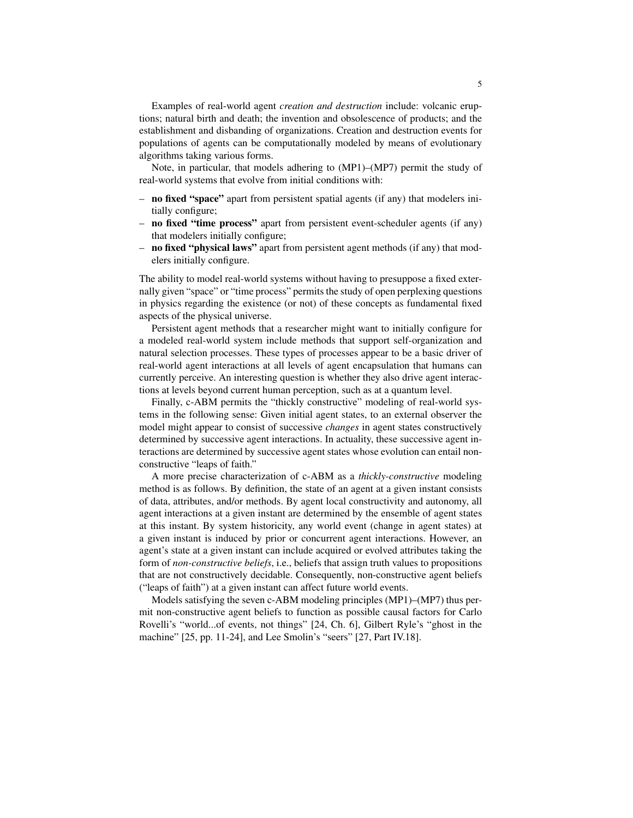Examples of real-world agent *creation and destruction* include: volcanic eruptions; natural birth and death; the invention and obsolescence of products; and the establishment and disbanding of organizations. Creation and destruction events for populations of agents can be computationally modeled by means of evolutionary algorithms taking various forms.

Note, in particular, that models adhering to (MP1)–(MP7) permit the study of real-world systems that evolve from initial conditions with:

- no fixed "space" apart from persistent spatial agents (if any) that modelers initially configure;
- no fixed "time process" apart from persistent event-scheduler agents (if any) that modelers initially configure;
- no fixed "physical laws" apart from persistent agent methods (if any) that modelers initially configure.

The ability to model real-world systems without having to presuppose a fixed externally given "space" or "time process" permits the study of open perplexing questions in physics regarding the existence (or not) of these concepts as fundamental fixed aspects of the physical universe.

Persistent agent methods that a researcher might want to initially configure for a modeled real-world system include methods that support self-organization and natural selection processes. These types of processes appear to be a basic driver of real-world agent interactions at all levels of agent encapsulation that humans can currently perceive. An interesting question is whether they also drive agent interactions at levels beyond current human perception, such as at a quantum level.

Finally, c-ABM permits the "thickly constructive" modeling of real-world systems in the following sense: Given initial agent states, to an external observer the model might appear to consist of successive *changes* in agent states constructively determined by successive agent interactions. In actuality, these successive agent interactions are determined by successive agent states whose evolution can entail nonconstructive "leaps of faith."

A more precise characterization of c-ABM as a *thickly-constructive* modeling method is as follows. By definition, the state of an agent at a given instant consists of data, attributes, and/or methods. By agent local constructivity and autonomy, all agent interactions at a given instant are determined by the ensemble of agent states at this instant. By system historicity, any world event (change in agent states) at a given instant is induced by prior or concurrent agent interactions. However, an agent's state at a given instant can include acquired or evolved attributes taking the form of *non-constructive beliefs*, i.e., beliefs that assign truth values to propositions that are not constructively decidable. Consequently, non-constructive agent beliefs ("leaps of faith") at a given instant can affect future world events.

Models satisfying the seven c-ABM modeling principles (MP1)–(MP7) thus permit non-constructive agent beliefs to function as possible causal factors for Carlo Rovelli's "world...of events, not things" [24, Ch. 6], Gilbert Ryle's "ghost in the machine" [25, pp. 11-24], and Lee Smolin's "seers" [27, Part IV.18].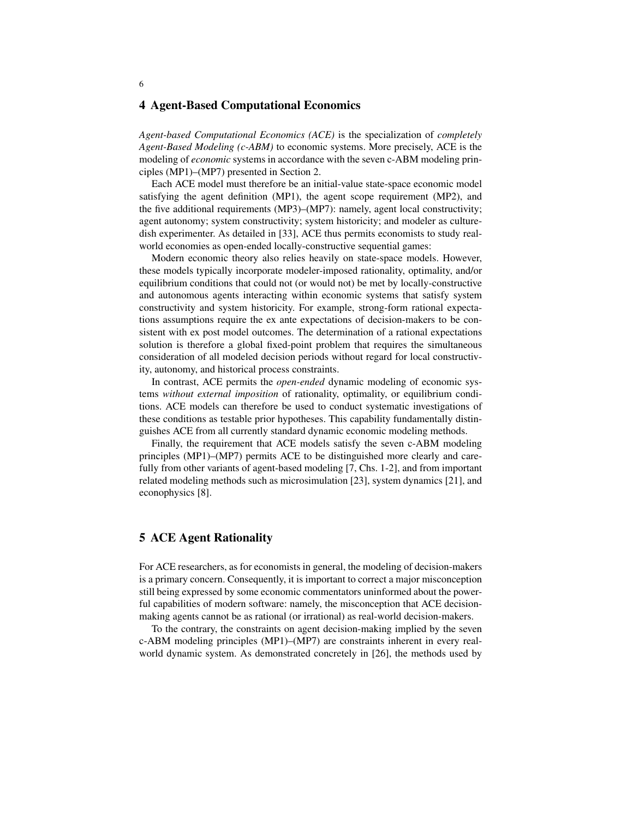#### 4 Agent-Based Computational Economics

*Agent-based Computational Economics (ACE)* is the specialization of *completely Agent-Based Modeling (c-ABM)* to economic systems. More precisely, ACE is the modeling of *economic* systems in accordance with the seven c-ABM modeling principles (MP1)–(MP7) presented in Section 2.

Each ACE model must therefore be an initial-value state-space economic model satisfying the agent definition (MP1), the agent scope requirement (MP2), and the five additional requirements (MP3)–(MP7): namely, agent local constructivity; agent autonomy; system constructivity; system historicity; and modeler as culturedish experimenter. As detailed in [33], ACE thus permits economists to study realworld economies as open-ended locally-constructive sequential games:

Modern economic theory also relies heavily on state-space models. However, these models typically incorporate modeler-imposed rationality, optimality, and/or equilibrium conditions that could not (or would not) be met by locally-constructive and autonomous agents interacting within economic systems that satisfy system constructivity and system historicity. For example, strong-form rational expectations assumptions require the ex ante expectations of decision-makers to be consistent with ex post model outcomes. The determination of a rational expectations solution is therefore a global fixed-point problem that requires the simultaneous consideration of all modeled decision periods without regard for local constructivity, autonomy, and historical process constraints.

In contrast, ACE permits the *open-ended* dynamic modeling of economic systems *without external imposition* of rationality, optimality, or equilibrium conditions. ACE models can therefore be used to conduct systematic investigations of these conditions as testable prior hypotheses. This capability fundamentally distinguishes ACE from all currently standard dynamic economic modeling methods.

Finally, the requirement that ACE models satisfy the seven c-ABM modeling principles (MP1)–(MP7) permits ACE to be distinguished more clearly and carefully from other variants of agent-based modeling [7, Chs. 1-2], and from important related modeling methods such as microsimulation [23], system dynamics [21], and econophysics [8].

#### 5 ACE Agent Rationality

For ACE researchers, as for economists in general, the modeling of decision-makers is a primary concern. Consequently, it is important to correct a major misconception still being expressed by some economic commentators uninformed about the powerful capabilities of modern software: namely, the misconception that ACE decisionmaking agents cannot be as rational (or irrational) as real-world decision-makers.

To the contrary, the constraints on agent decision-making implied by the seven c-ABM modeling principles (MP1)–(MP7) are constraints inherent in every realworld dynamic system. As demonstrated concretely in [26], the methods used by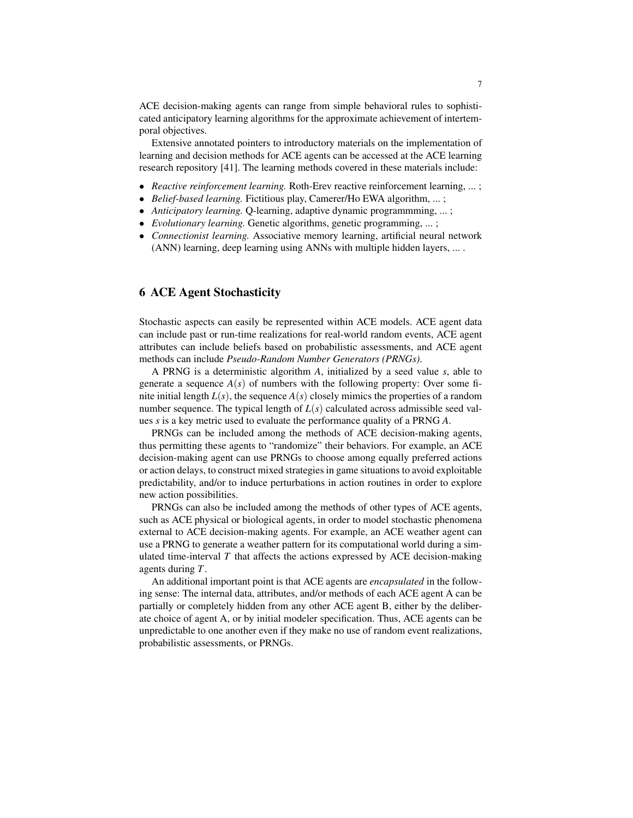ACE decision-making agents can range from simple behavioral rules to sophisticated anticipatory learning algorithms for the approximate achievement of intertemporal objectives.

Extensive annotated pointers to introductory materials on the implementation of learning and decision methods for ACE agents can be accessed at the ACE learning research repository [41]. The learning methods covered in these materials include:

- *Reactive reinforcement learning.* Roth-Erev reactive reinforcement learning, ... ;
- *Belief-based learning.* Fictitious play, Camerer/Ho EWA algorithm, ... ;
- *Anticipatory learning.* Q-learning, adaptive dynamic programmming, ... ;
- *Evolutionary learning.* Genetic algorithms, genetic programming, ... ;
- *Connectionist learning.* Associative memory learning, artificial neural network (ANN) learning, deep learning using ANNs with multiple hidden layers, ... .

# 6 ACE Agent Stochasticity

Stochastic aspects can easily be represented within ACE models. ACE agent data can include past or run-time realizations for real-world random events, ACE agent attributes can include beliefs based on probabilistic assessments, and ACE agent methods can include *Pseudo-Random Number Generators (PRNGs)*.

A PRNG is a deterministic algorithm *A*, initialized by a seed value *s*, able to generate a sequence  $A(s)$  of numbers with the following property: Over some finite initial length  $L(s)$ , the sequence  $A(s)$  closely mimics the properties of a random number sequence. The typical length of  $L(s)$  calculated across admissible seed values *s* is a key metric used to evaluate the performance quality of a PRNG *A*.

PRNGs can be included among the methods of ACE decision-making agents, thus permitting these agents to "randomize" their behaviors. For example, an ACE decision-making agent can use PRNGs to choose among equally preferred actions or action delays, to construct mixed strategies in game situations to avoid exploitable predictability, and/or to induce perturbations in action routines in order to explore new action possibilities.

PRNGs can also be included among the methods of other types of ACE agents, such as ACE physical or biological agents, in order to model stochastic phenomena external to ACE decision-making agents. For example, an ACE weather agent can use a PRNG to generate a weather pattern for its computational world during a simulated time-interval  $T$  that affects the actions expressed by ACE decision-making agents during *T*.

An additional important point is that ACE agents are *encapsulated* in the following sense: The internal data, attributes, and/or methods of each ACE agent A can be partially or completely hidden from any other ACE agent B, either by the deliberate choice of agent A, or by initial modeler specification. Thus, ACE agents can be unpredictable to one another even if they make no use of random event realizations, probabilistic assessments, or PRNGs.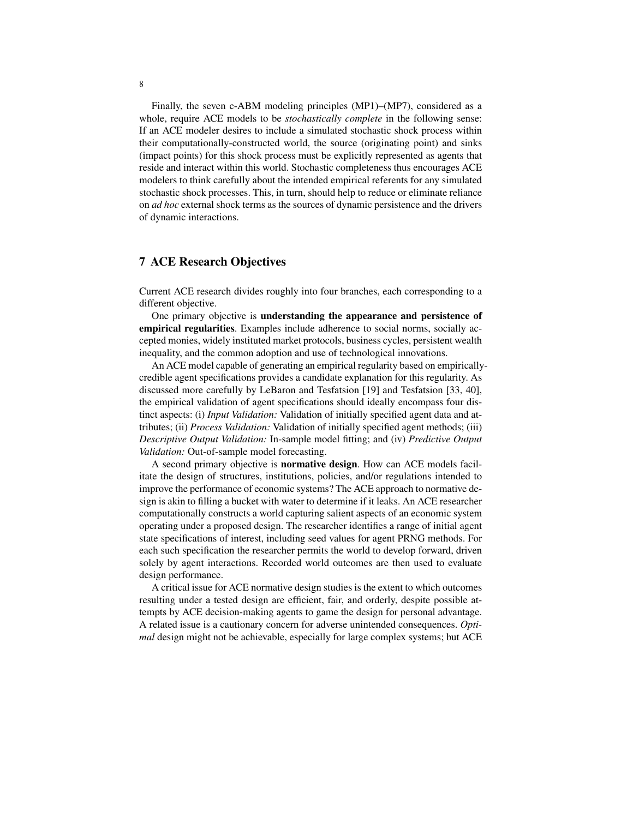Finally, the seven c-ABM modeling principles (MP1)–(MP7), considered as a whole, require ACE models to be *stochastically complete* in the following sense: If an ACE modeler desires to include a simulated stochastic shock process within their computationally-constructed world, the source (originating point) and sinks (impact points) for this shock process must be explicitly represented as agents that reside and interact within this world. Stochastic completeness thus encourages ACE modelers to think carefully about the intended empirical referents for any simulated stochastic shock processes. This, in turn, should help to reduce or eliminate reliance on *ad hoc* external shock terms as the sources of dynamic persistence and the drivers of dynamic interactions.

## 7 ACE Research Objectives

Current ACE research divides roughly into four branches, each corresponding to a different objective.

One primary objective is understanding the appearance and persistence of empirical regularities. Examples include adherence to social norms, socially accepted monies, widely instituted market protocols, business cycles, persistent wealth inequality, and the common adoption and use of technological innovations.

An ACE model capable of generating an empirical regularity based on empiricallycredible agent specifications provides a candidate explanation for this regularity. As discussed more carefully by LeBaron and Tesfatsion [19] and Tesfatsion [33, 40], the empirical validation of agent specifications should ideally encompass four distinct aspects: (i) *Input Validation:* Validation of initially specified agent data and attributes; (ii) *Process Validation:* Validation of initially specified agent methods; (iii) *Descriptive Output Validation:* In-sample model fitting; and (iv) *Predictive Output Validation:* Out-of-sample model forecasting.

A second primary objective is **normative design**. How can ACE models facilitate the design of structures, institutions, policies, and/or regulations intended to improve the performance of economic systems? The ACE approach to normative design is akin to filling a bucket with water to determine if it leaks. An ACE researcher computationally constructs a world capturing salient aspects of an economic system operating under a proposed design. The researcher identifies a range of initial agent state specifications of interest, including seed values for agent PRNG methods. For each such specification the researcher permits the world to develop forward, driven solely by agent interactions. Recorded world outcomes are then used to evaluate design performance.

A critical issue for ACE normative design studies is the extent to which outcomes resulting under a tested design are efficient, fair, and orderly, despite possible attempts by ACE decision-making agents to game the design for personal advantage. A related issue is a cautionary concern for adverse unintended consequences. *Optimal* design might not be achievable, especially for large complex systems; but ACE

8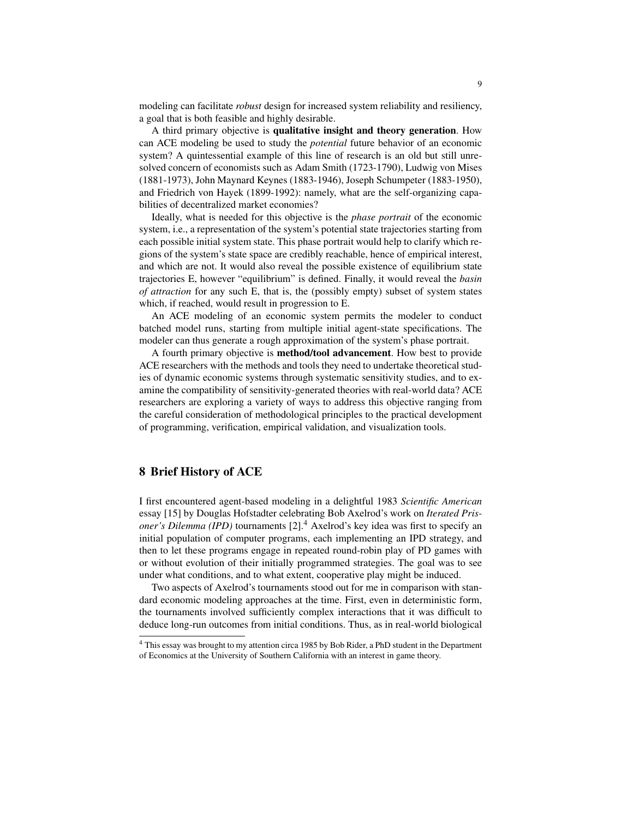modeling can facilitate *robust* design for increased system reliability and resiliency, a goal that is both feasible and highly desirable.

A third primary objective is qualitative insight and theory generation. How can ACE modeling be used to study the *potential* future behavior of an economic system? A quintessential example of this line of research is an old but still unresolved concern of economists such as Adam Smith (1723-1790), Ludwig von Mises (1881-1973), John Maynard Keynes (1883-1946), Joseph Schumpeter (1883-1950), and Friedrich von Hayek (1899-1992): namely, what are the self-organizing capabilities of decentralized market economies?

Ideally, what is needed for this objective is the *phase portrait* of the economic system, i.e., a representation of the system's potential state trajectories starting from each possible initial system state. This phase portrait would help to clarify which regions of the system's state space are credibly reachable, hence of empirical interest, and which are not. It would also reveal the possible existence of equilibrium state trajectories E, however "equilibrium" is defined. Finally, it would reveal the *basin of attraction* for any such E, that is, the (possibly empty) subset of system states which, if reached, would result in progression to E.

An ACE modeling of an economic system permits the modeler to conduct batched model runs, starting from multiple initial agent-state specifications. The modeler can thus generate a rough approximation of the system's phase portrait.

A fourth primary objective is method/tool advancement. How best to provide ACE researchers with the methods and tools they need to undertake theoretical studies of dynamic economic systems through systematic sensitivity studies, and to examine the compatibility of sensitivity-generated theories with real-world data? ACE researchers are exploring a variety of ways to address this objective ranging from the careful consideration of methodological principles to the practical development of programming, verification, empirical validation, and visualization tools.

# 8 Brief History of ACE

I first encountered agent-based modeling in a delightful 1983 *Scientific American* essay [15] by Douglas Hofstadter celebrating Bob Axelrod's work on *Iterated Prisoner's Dilemma (IPD)* tournaments [2].<sup>4</sup> Axelrod's key idea was first to specify an initial population of computer programs, each implementing an IPD strategy, and then to let these programs engage in repeated round-robin play of PD games with or without evolution of their initially programmed strategies. The goal was to see under what conditions, and to what extent, cooperative play might be induced.

Two aspects of Axelrod's tournaments stood out for me in comparison with standard economic modeling approaches at the time. First, even in deterministic form, the tournaments involved sufficiently complex interactions that it was difficult to deduce long-run outcomes from initial conditions. Thus, as in real-world biological

<sup>4</sup> This essay was brought to my attention circa 1985 by Bob Rider, a PhD student in the Department of Economics at the University of Southern California with an interest in game theory.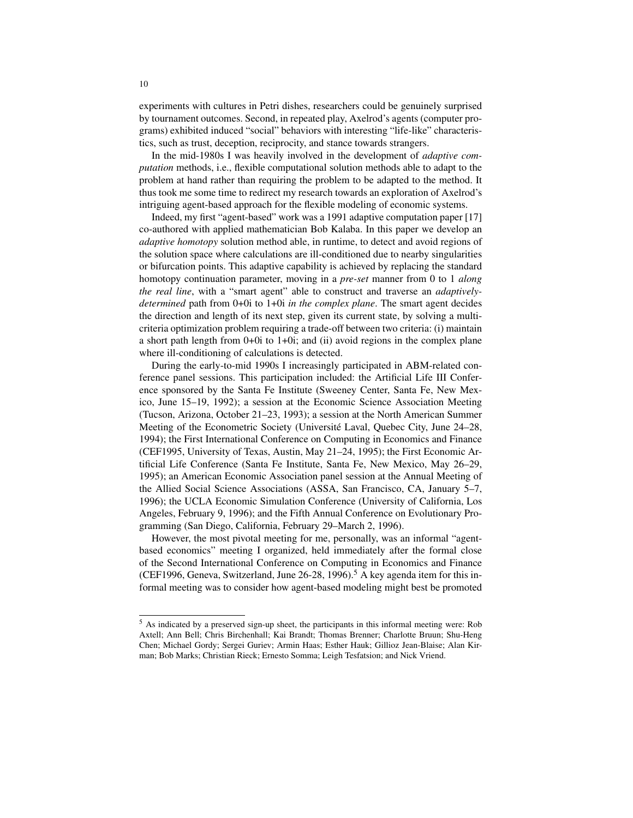experiments with cultures in Petri dishes, researchers could be genuinely surprised by tournament outcomes. Second, in repeated play, Axelrod's agents (computer programs) exhibited induced "social" behaviors with interesting "life-like" characteristics, such as trust, deception, reciprocity, and stance towards strangers.

In the mid-1980s I was heavily involved in the development of *adaptive computation* methods, i.e., flexible computational solution methods able to adapt to the problem at hand rather than requiring the problem to be adapted to the method. It thus took me some time to redirect my research towards an exploration of Axelrod's intriguing agent-based approach for the flexible modeling of economic systems.

Indeed, my first "agent-based" work was a 1991 adaptive computation paper [17] co-authored with applied mathematician Bob Kalaba. In this paper we develop an *adaptive homotopy* solution method able, in runtime, to detect and avoid regions of the solution space where calculations are ill-conditioned due to nearby singularities or bifurcation points. This adaptive capability is achieved by replacing the standard homotopy continuation parameter, moving in a *pre-set* manner from 0 to 1 *along the real line*, with a "smart agent" able to construct and traverse an *adaptivelydetermined* path from 0+0i to 1+0i *in the complex plane*. The smart agent decides the direction and length of its next step, given its current state, by solving a multicriteria optimization problem requiring a trade-off between two criteria: (i) maintain a short path length from 0+0i to 1+0i; and (ii) avoid regions in the complex plane where ill-conditioning of calculations is detected.

During the early-to-mid 1990s I increasingly participated in ABM-related conference panel sessions. This participation included: the Artificial Life III Conference sponsored by the Santa Fe Institute (Sweeney Center, Santa Fe, New Mexico, June 15–19, 1992); a session at the Economic Science Association Meeting (Tucson, Arizona, October 21–23, 1993); a session at the North American Summer Meeting of the Econometric Society (Université Laval, Quebec City, June 24–28, 1994); the First International Conference on Computing in Economics and Finance (CEF1995, University of Texas, Austin, May 21–24, 1995); the First Economic Artificial Life Conference (Santa Fe Institute, Santa Fe, New Mexico, May 26–29, 1995); an American Economic Association panel session at the Annual Meeting of the Allied Social Science Associations (ASSA, San Francisco, CA, January 5–7, 1996); the UCLA Economic Simulation Conference (University of California, Los Angeles, February 9, 1996); and the Fifth Annual Conference on Evolutionary Programming (San Diego, California, February 29–March 2, 1996).

However, the most pivotal meeting for me, personally, was an informal "agentbased economics" meeting I organized, held immediately after the formal close of the Second International Conference on Computing in Economics and Finance (CEF1996, Geneva, Switzerland, June  $26-28$ , 1996).<sup>5</sup> A key agenda item for this informal meeting was to consider how agent-based modeling might best be promoted

<sup>5</sup> As indicated by a preserved sign-up sheet, the participants in this informal meeting were: Rob Axtell; Ann Bell; Chris Birchenhall; Kai Brandt; Thomas Brenner; Charlotte Bruun; Shu-Heng Chen; Michael Gordy; Sergei Guriev; Armin Haas; Esther Hauk; Gillioz Jean-Blaise; Alan Kirman; Bob Marks; Christian Rieck; Ernesto Somma; Leigh Tesfatsion; and Nick Vriend.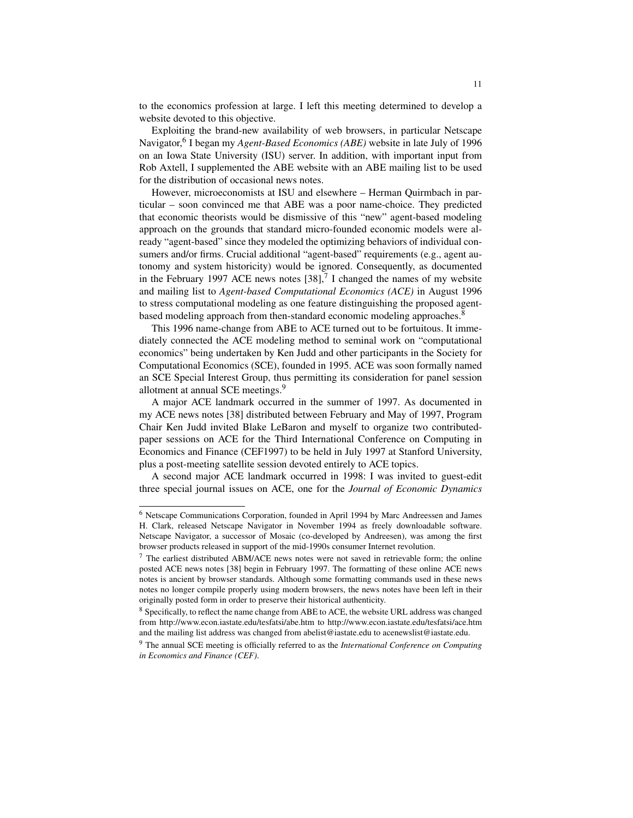to the economics profession at large. I left this meeting determined to develop a website devoted to this objective.

Exploiting the brand-new availability of web browsers, in particular Netscape Navigator,<sup>6</sup> I began my *Agent-Based Economics (ABE)* website in late July of 1996 on an Iowa State University (ISU) server. In addition, with important input from Rob Axtell, I supplemented the ABE website with an ABE mailing list to be used for the distribution of occasional news notes.

However, microeconomists at ISU and elsewhere – Herman Quirmbach in particular – soon convinced me that ABE was a poor name-choice. They predicted that economic theorists would be dismissive of this "new" agent-based modeling approach on the grounds that standard micro-founded economic models were already "agent-based" since they modeled the optimizing behaviors of individual consumers and/or firms. Crucial additional "agent-based" requirements (e.g., agent autonomy and system historicity) would be ignored. Consequently, as documented in the February 1997 ACE news notes  $[38]$ ,<sup>7</sup> I changed the names of my website and mailing list to *Agent-based Computational Economics (ACE)* in August 1996 to stress computational modeling as one feature distinguishing the proposed agentbased modeling approach from then-standard economic modeling approaches.<sup>8</sup>

This 1996 name-change from ABE to ACE turned out to be fortuitous. It immediately connected the ACE modeling method to seminal work on "computational economics" being undertaken by Ken Judd and other participants in the Society for Computational Economics (SCE), founded in 1995. ACE was soon formally named an SCE Special Interest Group, thus permitting its consideration for panel session allotment at annual SCE meetings.<sup>9</sup>

A major ACE landmark occurred in the summer of 1997. As documented in my ACE news notes [38] distributed between February and May of 1997, Program Chair Ken Judd invited Blake LeBaron and myself to organize two contributedpaper sessions on ACE for the Third International Conference on Computing in Economics and Finance (CEF1997) to be held in July 1997 at Stanford University, plus a post-meeting satellite session devoted entirely to ACE topics.

A second major ACE landmark occurred in 1998: I was invited to guest-edit three special journal issues on ACE, one for the *Journal of Economic Dynamics*

<sup>6</sup> Netscape Communications Corporation, founded in April 1994 by Marc Andreessen and James H. Clark, released Netscape Navigator in November 1994 as freely downloadable software. Netscape Navigator, a successor of Mosaic (co-developed by Andreesen), was among the first browser products released in support of the mid-1990s consumer Internet revolution.

 $<sup>7</sup>$  The earliest distributed ABM/ACE news notes were not saved in retrievable form; the online</sup> posted ACE news notes [38] begin in February 1997. The formatting of these online ACE news notes is ancient by browser standards. Although some formatting commands used in these news notes no longer compile properly using modern browsers, the news notes have been left in their originally posted form in order to preserve their historical authenticity.

<sup>&</sup>lt;sup>8</sup> Specifically, to reflect the name change from ABE to ACE, the website URL address was changed from http://www.econ.iastate.edu/tesfatsi/abe.htm to http://www.econ.iastate.edu/tesfatsi/ace.htm and the mailing list address was changed from abelist@iastate.edu to acenewslist@iastate.edu.

<sup>9</sup> The annual SCE meeting is officially referred to as the *International Conference on Computing in Economics and Finance (CEF)*.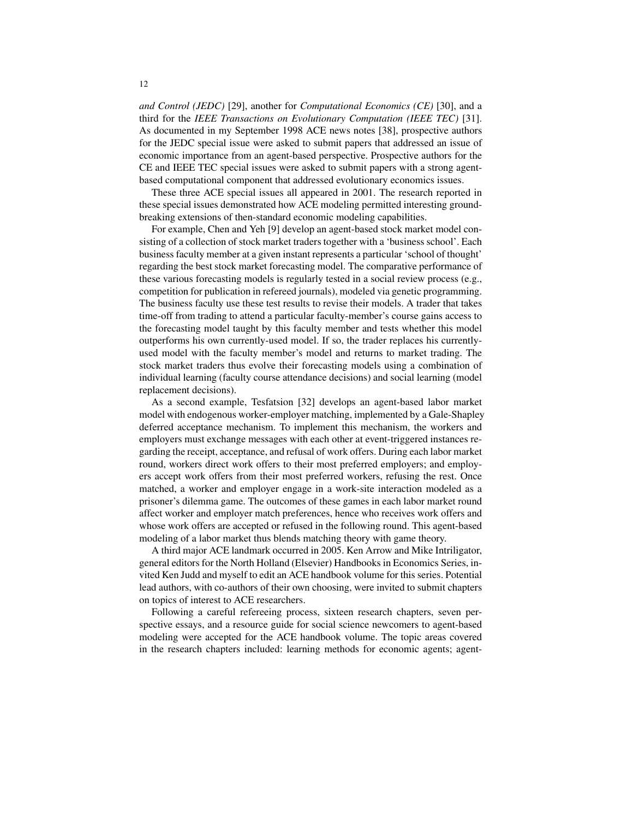*and Control (JEDC)* [29], another for *Computational Economics (CE)* [30], and a third for the *IEEE Transactions on Evolutionary Computation (IEEE TEC)* [31]. As documented in my September 1998 ACE news notes [38], prospective authors for the JEDC special issue were asked to submit papers that addressed an issue of economic importance from an agent-based perspective. Prospective authors for the CE and IEEE TEC special issues were asked to submit papers with a strong agentbased computational component that addressed evolutionary economics issues.

These three ACE special issues all appeared in 2001. The research reported in these special issues demonstrated how ACE modeling permitted interesting groundbreaking extensions of then-standard economic modeling capabilities.

For example, Chen and Yeh [9] develop an agent-based stock market model consisting of a collection of stock market traders together with a 'business school'. Each business faculty member at a given instant represents a particular 'school of thought' regarding the best stock market forecasting model. The comparative performance of these various forecasting models is regularly tested in a social review process (e.g., competition for publication in refereed journals), modeled via genetic programming. The business faculty use these test results to revise their models. A trader that takes time-off from trading to attend a particular faculty-member's course gains access to the forecasting model taught by this faculty member and tests whether this model outperforms his own currently-used model. If so, the trader replaces his currentlyused model with the faculty member's model and returns to market trading. The stock market traders thus evolve their forecasting models using a combination of individual learning (faculty course attendance decisions) and social learning (model replacement decisions).

As a second example, Tesfatsion [32] develops an agent-based labor market model with endogenous worker-employer matching, implemented by a Gale-Shapley deferred acceptance mechanism. To implement this mechanism, the workers and employers must exchange messages with each other at event-triggered instances regarding the receipt, acceptance, and refusal of work offers. During each labor market round, workers direct work offers to their most preferred employers; and employers accept work offers from their most preferred workers, refusing the rest. Once matched, a worker and employer engage in a work-site interaction modeled as a prisoner's dilemma game. The outcomes of these games in each labor market round affect worker and employer match preferences, hence who receives work offers and whose work offers are accepted or refused in the following round. This agent-based modeling of a labor market thus blends matching theory with game theory.

A third major ACE landmark occurred in 2005. Ken Arrow and Mike Intriligator, general editors for the North Holland (Elsevier) Handbooks in Economics Series, invited Ken Judd and myself to edit an ACE handbook volume for this series. Potential lead authors, with co-authors of their own choosing, were invited to submit chapters on topics of interest to ACE researchers.

Following a careful refereeing process, sixteen research chapters, seven perspective essays, and a resource guide for social science newcomers to agent-based modeling were accepted for the ACE handbook volume. The topic areas covered in the research chapters included: learning methods for economic agents; agent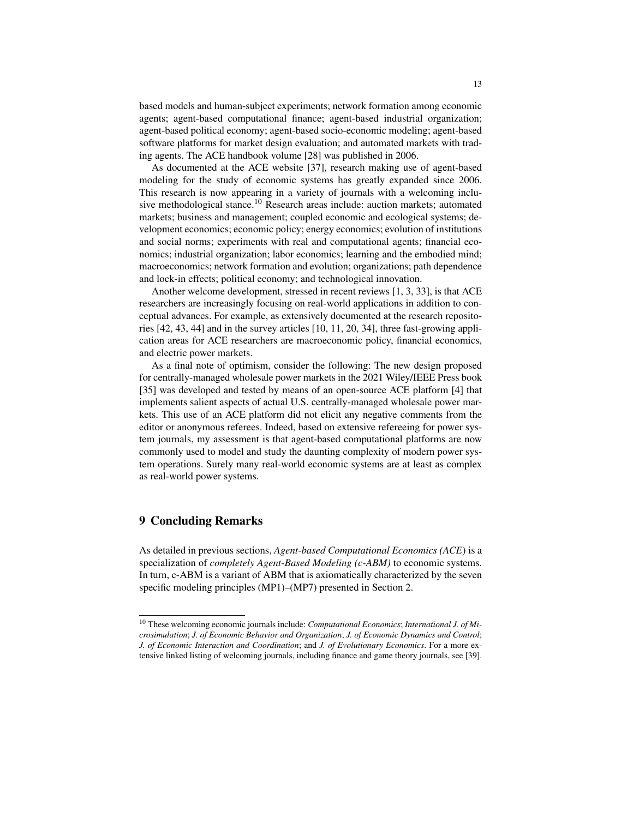based models and human-subject experiments; network formation among economic agents; agent-based computational finance; agent-based industrial organization; agent-based political economy; agent-based socio-economic modeling; agent-based software platforms for market design evaluation; and automated markets with trading agents. The ACE handbook volume [28] was published in 2006.

As documented at the ACE website [37], research making use of agent-based modeling for the study of economic systems has greatly expanded since 2006. This research is now appearing in a variety of journals with a welcoming inclusive methodological stance.<sup>10</sup> Research areas include: auction markets; automated markets; business and management; coupled economic and ecological systems; development economics; economic policy; energy economics; evolution of institutions and social norms; experiments with real and computational agents; financial economics; industrial organization; labor economics; learning and the embodied mind; macroeconomics; network formation and evolution; organizations; path dependence and lock-in effects; political economy; and technological innovation.

Another welcome development, stressed in recent reviews [1, 3, 33], is that ACE researchers are increasingly focusing on real-world applications in addition to conceptual advances. For example, as extensively documented at the research repositories [42, 43, 44] and in the survey articles [10, 11, 20, 34], three fast-growing application areas for ACE researchers are macroeconomic policy, financial economics, and electric power markets.

As a final note of optimism, consider the following: The new design proposed for centrally-managed wholesale power markets in the 2021 Wiley/IEEE Press book [35] was developed and tested by means of an open-source ACE platform [4] that implements salient aspects of actual U.S. centrally-managed wholesale power markets. This use of an ACE platform did not elicit any negative comments from the editor or anonymous referees. Indeed, based on extensive refereeing for power system journals, my assessment is that agent-based computational platforms are now commonly used to model and study the daunting complexity of modern power system operations. Surely many real-world economic systems are at least as complex as real-world power systems.

# 9 Concluding Remarks

As detailed in previous sections, *Agent-based Computational Economics (ACE*) is a specialization of *completely Agent-Based Modeling (c-ABM)* to economic systems. In turn, c-ABM is a variant of ABM that is axiomatically characterized by the seven specific modeling principles (MP1)–(MP7) presented in Section 2.

<sup>10</sup> These welcoming economic journals include: *Computational Economics*; *International J. of Microsimulation*; *J. of Economic Behavior and Organization*; *J. of Economic Dynamics and Control*; *J. of Economic Interaction and Coordination*; and *J. of Evolutionary Economics*. For a more extensive linked listing of welcoming journals, including finance and game theory journals, see [39].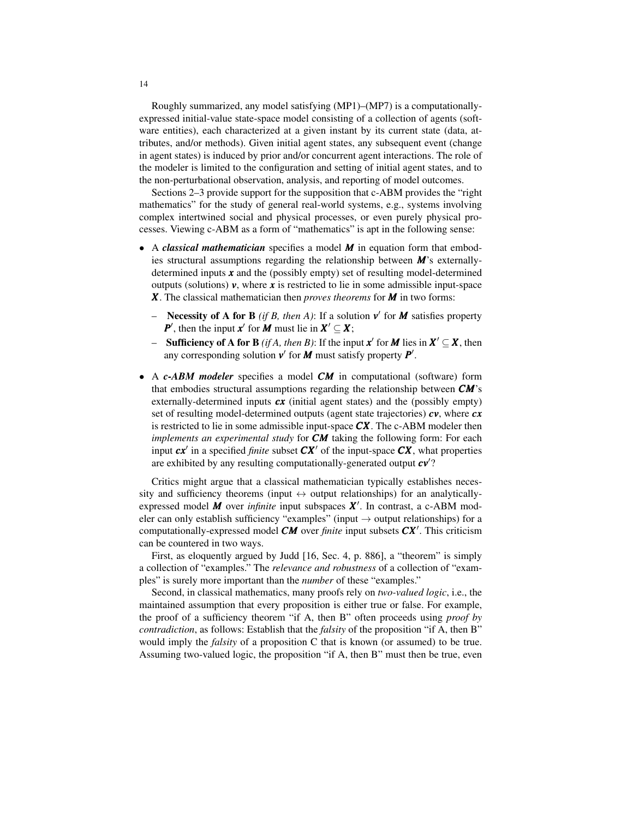Roughly summarized, any model satisfying (MP1)–(MP7) is a computationallyexpressed initial-value state-space model consisting of a collection of agents (software entities), each characterized at a given instant by its current state (data, attributes, and/or methods). Given initial agent states, any subsequent event (change in agent states) is induced by prior and/or concurrent agent interactions. The role of the modeler is limited to the configuration and setting of initial agent states, and to the non-perturbational observation, analysis, and reporting of model outcomes.

Sections 2–3 provide support for the supposition that c-ABM provides the "right mathematics" for the study of general real-world systems, e.g., systems involving complex intertwined social and physical processes, or even purely physical processes. Viewing c-ABM as a form of "mathematics" is apt in the following sense:

- A *classical mathematician* specifies a model *M* in equation form that embodies structural assumptions regarding the relationship between *M*'s externallydetermined inputs *x* and the (possibly empty) set of resulting model-determined outputs (solutions)  $v$ , where  $x$  is restricted to lie in some admissible input-space *X*. The classical mathematician then *proves theorems* for *M* in two forms:
	- Necessity of A for B *(if B, then A)*: If a solution  $v'$  for M satisfies property *P*<sup> $\prime$ </sup>, then the input *x*<sup> $\prime$ </sup> for *M* must lie in  $X' \subseteq X$ ;
	- **–** Sufficiency of A for B *(if A, then B)*: If the input  $x'$  for M lies in  $X' \subseteq X$ , then any corresponding solution  $v'$  for  $M$  must satisfy property  $P'$ .
- A *c-ABM modeler* specifies a model *CM* in computational (software) form that embodies structural assumptions regarding the relationship between *CM*'s externally-determined inputs *cx* (initial agent states) and the (possibly empty) set of resulting model-determined outputs (agent state trajectories) *cv*, where *cx* is restricted to lie in some admissible input-space *CX*. The c-ABM modeler then *implements an experimental study* for *CM* taking the following form: For each input  $cx'$  in a specified *finite* subset  $CX'$  of the input-space  $CX$ , what properties are exhibited by any resulting computationally-generated output  $cv$ ?

Critics might argue that a classical mathematician typically establishes necessity and sufficiency theorems (input  $\leftrightarrow$  output relationships) for an analyticallyexpressed model *M* over *infinite* input subspaces  $X'$ . In contrast, a c-ABM modeler can only establish sufficiency "examples" (input  $\rightarrow$  output relationships) for a computationally-expressed model  $CM$  over *finite* input subsets  $CX'$ . This criticism can be countered in two ways.

First, as eloquently argued by Judd [16, Sec. 4, p. 886], a "theorem" is simply a collection of "examples." The *relevance and robustness* of a collection of "examples" is surely more important than the *number* of these "examples."

Second, in classical mathematics, many proofs rely on *two-valued logic*, i.e., the maintained assumption that every proposition is either true or false. For example, the proof of a sufficiency theorem "if A, then B" often proceeds using *proof by contradiction*, as follows: Establish that the *falsity* of the proposition "if A, then B" would imply the *falsity* of a proposition C that is known (or assumed) to be true. Assuming two-valued logic, the proposition "if A, then B" must then be true, even

14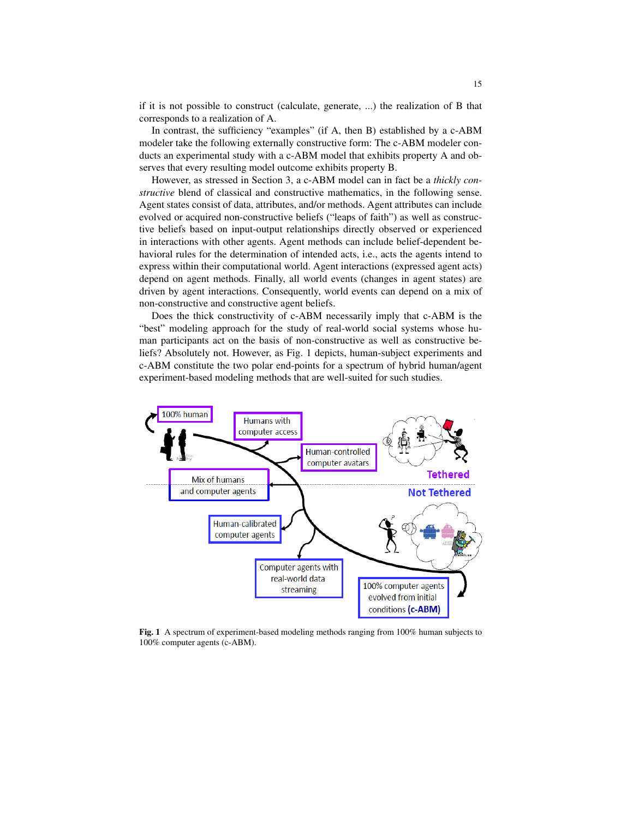if it is not possible to construct (calculate, generate, ...) the realization of B that corresponds to a realization of A.

In contrast, the sufficiency "examples" (if A, then B) established by a c-ABM modeler take the following externally constructive form: The c-ABM modeler conducts an experimental study with a c-ABM model that exhibits property A and observes that every resulting model outcome exhibits property B.

However, as stressed in Section 3, a c-ABM model can in fact be a *thickly constructive* blend of classical and constructive mathematics, in the following sense. Agent states consist of data, attributes, and/or methods. Agent attributes can include evolved or acquired non-constructive beliefs ("leaps of faith") as well as constructive beliefs based on input-output relationships directly observed or experienced in interactions with other agents. Agent methods can include belief-dependent behavioral rules for the determination of intended acts, i.e., acts the agents intend to express within their computational world. Agent interactions (expressed agent acts) depend on agent methods. Finally, all world events (changes in agent states) are driven by agent interactions. Consequently, world events can depend on a mix of non-constructive and constructive agent beliefs.

Does the thick constructivity of c-ABM necessarily imply that c-ABM is the "best" modeling approach for the study of real-world social systems whose human participants act on the basis of non-constructive as well as constructive beliefs? Absolutely not. However, as Fig. 1 depicts, human-subject experiments and c-ABM constitute the two polar end-points for a spectrum of hybrid human/agent experiment-based modeling methods that are well-suited for such studies.



Fig. 1 A spectrum of experiment-based modeling methods ranging from 100% human subjects to 100% computer agents (c-ABM).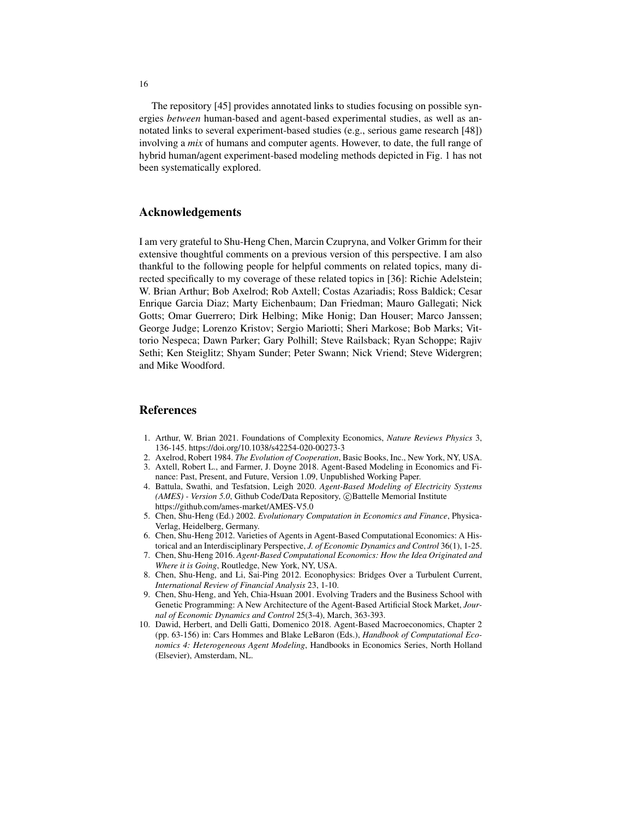The repository [45] provides annotated links to studies focusing on possible synergies *between* human-based and agent-based experimental studies, as well as annotated links to several experiment-based studies (e.g., serious game research [48]) involving a *mix* of humans and computer agents. However, to date, the full range of hybrid human/agent experiment-based modeling methods depicted in Fig. 1 has not been systematically explored.

#### Acknowledgements

I am very grateful to Shu-Heng Chen, Marcin Czupryna, and Volker Grimm for their extensive thoughtful comments on a previous version of this perspective. I am also thankful to the following people for helpful comments on related topics, many directed specifically to my coverage of these related topics in [36]: Richie Adelstein; W. Brian Arthur; Bob Axelrod; Rob Axtell; Costas Azariadis; Ross Baldick; Cesar Enrique Garcia Diaz; Marty Eichenbaum; Dan Friedman; Mauro Gallegati; Nick Gotts; Omar Guerrero; Dirk Helbing; Mike Honig; Dan Houser; Marco Janssen; George Judge; Lorenzo Kristov; Sergio Mariotti; Sheri Markose; Bob Marks; Vittorio Nespeca; Dawn Parker; Gary Polhill; Steve Railsback; Ryan Schoppe; Rajiv Sethi; Ken Steiglitz; Shyam Sunder; Peter Swann; Nick Vriend; Steve Widergren; and Mike Woodford.

#### References

- 1. Arthur, W. Brian 2021. Foundations of Complexity Economics, *Nature Reviews Physics* 3, 136-145. https://doi.org/10.1038/s42254-020-00273-3
- 2. Axelrod, Robert 1984. *The Evolution of Cooperation*, Basic Books, Inc., New York, NY, USA.
- 3. Axtell, Robert L., and Farmer, J. Doyne 2018. Agent-Based Modeling in Economics and Finance: Past, Present, and Future, Version 1.09, Unpublished Working Paper.
- 4. Battula, Swathi, and Tesfatsion, Leigh 2020. *Agent-Based Modeling of Electricity Systems* (AMES) - Version 5.0, Github Code/Data Repository, ©Battelle Memorial Institute https://github.com/ames-market/AMES-V5.0
- 5. Chen, Shu-Heng (Ed.) 2002. *Evolutionary Computation in Economics and Finance*, Physica-Verlag, Heidelberg, Germany.
- 6. Chen, Shu-Heng 2012. Varieties of Agents in Agent-Based Computational Economics: A Historical and an Interdisciplinary Perspective, *J. of Economic Dynamics and Control* 36(1), 1-25.
- 7. Chen, Shu-Heng 2016. *Agent-Based Computational Economics: How the Idea Originated and Where it is Going*, Routledge, New York, NY, USA.
- 8. Chen, Shu-Heng, and Li, Sai-Ping 2012. Econophysics: Bridges Over a Turbulent Current, *International Review of Financial Analysis* 23, 1-10.
- 9. Chen, Shu-Heng, and Yeh, Chia-Hsuan 2001. Evolving Traders and the Business School with Genetic Programming: A New Architecture of the Agent-Based Artificial Stock Market, *Journal of Economic Dynamics and Control* 25(3-4), March, 363-393.
- 10. Dawid, Herbert, and Delli Gatti, Domenico 2018. Agent-Based Macroeconomics, Chapter 2 (pp. 63-156) in: Cars Hommes and Blake LeBaron (Eds.), *Handbook of Computational Economics 4: Heterogeneous Agent Modeling*, Handbooks in Economics Series, North Holland (Elsevier), Amsterdam, NL.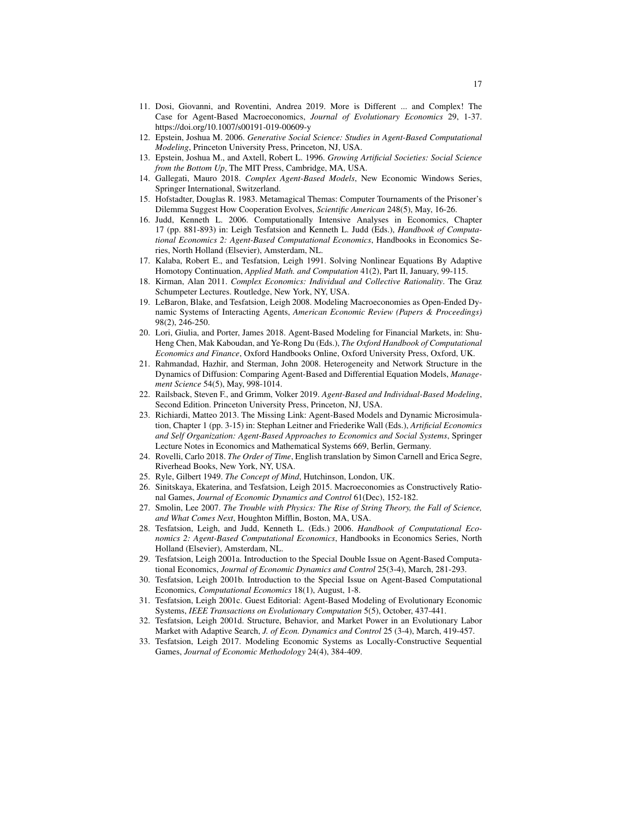- 11. Dosi, Giovanni, and Roventini, Andrea 2019. More is Different ... and Complex! The Case for Agent-Based Macroeconomics, *Journal of Evolutionary Economics* 29, 1-37. https://doi.org/10.1007/s00191-019-00609-y
- 12. Epstein, Joshua M. 2006. *Generative Social Science: Studies in Agent-Based Computational Modeling*, Princeton University Press, Princeton, NJ, USA.
- 13. Epstein, Joshua M., and Axtell, Robert L. 1996. *Growing Artificial Societies: Social Science from the Bottom Up*, The MIT Press, Cambridge, MA, USA.
- 14. Gallegati, Mauro 2018. *Complex Agent-Based Models*, New Economic Windows Series, Springer International, Switzerland.
- 15. Hofstadter, Douglas R. 1983. Metamagical Themas: Computer Tournaments of the Prisoner's Dilemma Suggest How Cooperation Evolves, *Scientific American* 248(5), May, 16-26.
- 16. Judd, Kenneth L. 2006. Computationally Intensive Analyses in Economics, Chapter 17 (pp. 881-893) in: Leigh Tesfatsion and Kenneth L. Judd (Eds.), *Handbook of Computational Economics 2: Agent-Based Computational Economics*, Handbooks in Economics Series, North Holland (Elsevier), Amsterdam, NL.
- 17. Kalaba, Robert E., and Tesfatsion, Leigh 1991. Solving Nonlinear Equations By Adaptive Homotopy Continuation, *Applied Math. and Computation* 41(2), Part II, January, 99-115.
- 18. Kirman, Alan 2011. *Complex Economics: Individual and Collective Rationality*. The Graz Schumpeter Lectures. Routledge, New York, NY, USA.
- 19. LeBaron, Blake, and Tesfatsion, Leigh 2008. Modeling Macroeconomies as Open-Ended Dynamic Systems of Interacting Agents, *American Economic Review (Papers & Proceedings)* 98(2), 246-250.
- 20. Lori, Giulia, and Porter, James 2018. Agent-Based Modeling for Financial Markets, in: Shu-Heng Chen, Mak Kaboudan, and Ye-Rong Du (Eds.), *The Oxford Handbook of Computational Economics and Finance*, Oxford Handbooks Online, Oxford University Press, Oxford, UK.
- 21. Rahmandad, Hazhir, and Sterman, John 2008. Heterogeneity and Network Structure in the Dynamics of Diffusion: Comparing Agent-Based and Differential Equation Models, *Management Science* 54(5), May, 998-1014.
- 22. Railsback, Steven F., and Grimm, Volker 2019. *Agent-Based and Individual-Based Modeling*, Second Edition. Princeton University Press, Princeton, NJ, USA.
- 23. Richiardi, Matteo 2013. The Missing Link: Agent-Based Models and Dynamic Microsimulation, Chapter 1 (pp. 3-15) in: Stephan Leitner and Friederike Wall (Eds.), *Artificial Economics and Self Organization: Agent-Based Approaches to Economics and Social Systems*, Springer Lecture Notes in Economics and Mathematical Systems 669, Berlin, Germany.
- 24. Rovelli, Carlo 2018. *The Order of Time*, English translation by Simon Carnell and Erica Segre, Riverhead Books, New York, NY, USA.
- 25. Ryle, Gilbert 1949. *The Concept of Mind*, Hutchinson, London, UK.
- 26. Sinitskaya, Ekaterina, and Tesfatsion, Leigh 2015. Macroeconomies as Constructively Rational Games, *Journal of Economic Dynamics and Control* 61(Dec), 152-182.
- 27. Smolin, Lee 2007. *The Trouble with Physics: The Rise of String Theory, the Fall of Science, and What Comes Next*, Houghton Mifflin, Boston, MA, USA.
- 28. Tesfatsion, Leigh, and Judd, Kenneth L. (Eds.) 2006. *Handbook of Computational Economics 2: Agent-Based Computational Economics*, Handbooks in Economics Series, North Holland (Elsevier), Amsterdam, NL.
- 29. Tesfatsion, Leigh 2001a. Introduction to the Special Double Issue on Agent-Based Computational Economics, *Journal of Economic Dynamics and Control* 25(3-4), March, 281-293.
- 30. Tesfatsion, Leigh 2001b. Introduction to the Special Issue on Agent-Based Computational Economics, *Computational Economics* 18(1), August, 1-8.
- 31. Tesfatsion, Leigh 2001c. Guest Editorial: Agent-Based Modeling of Evolutionary Economic Systems, *IEEE Transactions on Evolutionary Computation* 5(5), October, 437-441.
- 32. Tesfatsion, Leigh 2001d. Structure, Behavior, and Market Power in an Evolutionary Labor Market with Adaptive Search, *J. of Econ. Dynamics and Control* 25 (3-4), March, 419-457.
- 33. Tesfatsion, Leigh 2017. Modeling Economic Systems as Locally-Constructive Sequential Games, *Journal of Economic Methodology* 24(4), 384-409.